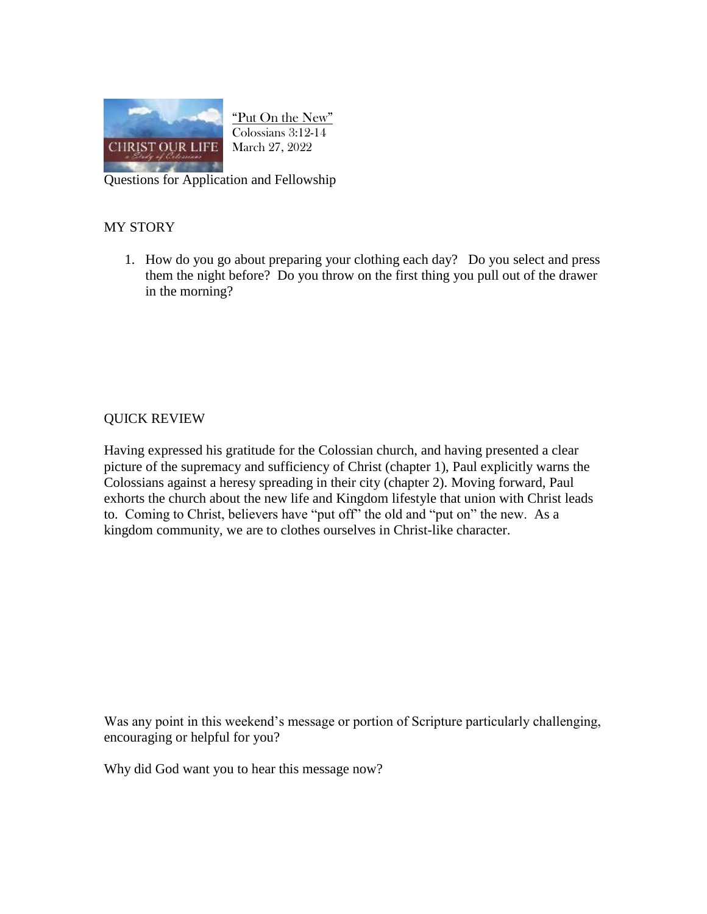

"Put On the New" Colossians 3:12-14 March 27, 2022

Questions for Application and Fellowship

## MY STORY

1. How do you go about preparing your clothing each day? Do you select and press them the night before? Do you throw on the first thing you pull out of the drawer in the morning?

## QUICK REVIEW

Having expressed his gratitude for the Colossian church, and having presented a clear picture of the supremacy and sufficiency of Christ (chapter 1), Paul explicitly warns the Colossians against a heresy spreading in their city (chapter 2). Moving forward, Paul exhorts the church about the new life and Kingdom lifestyle that union with Christ leads to. Coming to Christ, believers have "put off" the old and "put on" the new. As a kingdom community, we are to clothes ourselves in Christ-like character.

Was any point in this weekend's message or portion of Scripture particularly challenging, encouraging or helpful for you?

Why did God want you to hear this message now?